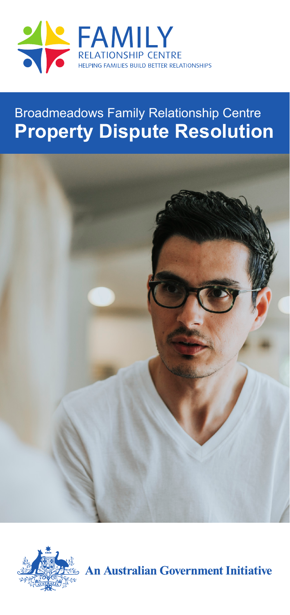

# Broadmeadows Family Relationship Centre **Property Dispute Resolution**





**An Australian Government Initiative**